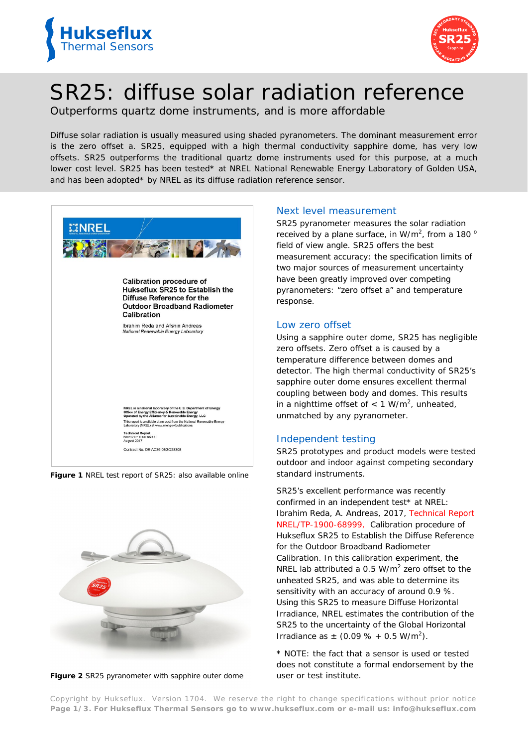



# SR25: diffuse solar radiation reference

Outperforms quartz dome instruments, and is more affordable

*Diffuse solar radiation is usually measured using shaded pyranometers. The dominant measurement error is the zero offset a. SR25, equipped with a high thermal conductivity sapphire dome, has very low offsets. SR25 outperforms the traditional quartz dome instruments used for this purpose, at a much lower cost level. SR25 has been tested\* at NREL National Renewable Energy Laboratory of Golden USA, and has been adopted\* by NREL as its diffuse radiation reference sensor.*



**Figure 1** *NREL test report of SR25: also available online*



**Figure 2** *SR25 pyranometer with sapphire outer dome*

## Next level measurement

SR25 pyranometer measures the solar radiation received by a plane surface, in W/m<sup>2</sup>, from a 180  $\degree$ field of view angle. SR25 offers the best measurement accuracy: the specification limits of two major sources of measurement uncertainty have been greatly improved over competing pyranometers: "zero offset a" and temperature response.

## Low zero offset

Using a sapphire outer dome, SR25 has negligible zero offsets. Zero offset a is caused by a temperature difference between domes and detector. The high thermal conductivity of SR25's sapphire outer dome ensures excellent thermal coupling between body and domes. This results in a nighttime offset of  $< 1$  W/m<sup>2</sup>, unheated, unmatched by any pyranometer.

## Independent testing

SR25 prototypes and product models were tested outdoor and indoor against competing secondary standard instruments.

SR25's excellent performance was recently confirmed in an independent test\* at NREL: Ibrahim Reda, A. Andreas, 2017, *[Technical Report](https://www.nrel.gov/docs/fy17osti/68999.pdf)  [NREL/TP-1900-68999,](https://www.nrel.gov/docs/fy17osti/68999.pdf) Calibration procedure of Hukseflux SR25 to Establish the Diffuse Reference for the Outdoor Broadband Radiometer Calibration.* In this calibration experiment, the NREL lab attributed a 0.5  $W/m^2$  zero offset to the unheated SR25, and was able to determine its sensitivity with an accuracy of around 0.9 %. Using this SR25 to measure Diffuse Horizontal Irradiance, NREL estimates the contribution of the SR25 to the uncertainty of the Global Horizontal Irradiance as  $\pm$  (0.09 % + 0.5 W/m<sup>2</sup>).

\* NOTE: the fact that a sensor is used or tested does not constitute a formal endorsement by the user or test institute.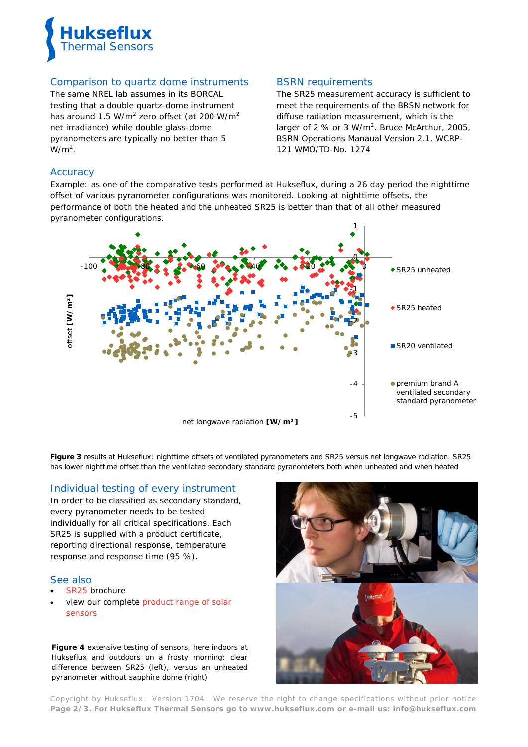

## Comparison to quartz dome instruments

The same NREL lab assumes in its BORCAL testing that a double quartz-dome instrument has around 1.5 W/m<sup>2</sup> zero offset (at 200 W/m<sup>2</sup> net irradiance) while double glass-dome pyranometers are typically no better than 5  $W/m<sup>2</sup>$ .

## BSRN requirements

The SR25 measurement accuracy is sufficient to meet the requirements of the BRSN network for diffuse radiation measurement, which is the larger of 2  $%$  or 3 W/m<sup>2</sup>. Bruce McArthur, 2005, *BSRN Operations Manaual Version 2.1, WCRP-121 WMO/TD-No. 1274*

## **Accuracy**

Example: as one of the comparative tests performed at Hukseflux, during a 26 day period the nighttime offset of various pyranometer configurations was monitored. Looking at nighttime offsets, the performance of both the heated and the unheated SR25 is better than that of all other measured pyranometer configurations.



**Figure 3** *results at Hukseflux: nighttime offsets of ventilated pyranometers and SR25 versus net longwave radiation. SR25 has lower nighttime offset than the ventilated secondary standard pyranometers both when unheated and when heated*

## Individual testing of every instrument

In order to be classified as secondary standard, every pyranometer needs to be tested individually for all critical specifications. Each SR25 is supplied with a product certificate, reporting directional response, temperature response and response time (95 %).

#### See also

- [SR25](http://www.hukseflux.com/product/sr25-pyranometer) brochure
- view our complete product range of solar [sensors](http://www.hukseflux.com/product_group/pyranometer)

**Figure 4** *extensive testing of sensors, here indoors at Hukseflux and outdoors on a frosty morning: clear difference between SR25 (left), versus an unheated pyranometer without sapphire dome (right)*



Copyright by Hukseflux. Version 1704. We reserve the right to change specifications without prior notice **Page 2/3. For Hukseflux Thermal Sensors go to [www.hukseflux.com](http://www.hukseflux.com/) or e-mail us: [info@hukseflux.com](mailto:info@hukseflux.com?subject=brochure)**